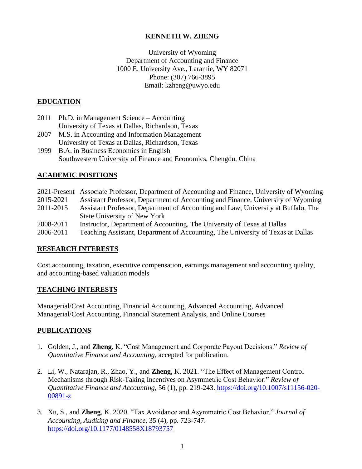## **KENNETH W. ZHENG**

University of Wyoming Department of Accounting and Finance 1000 E. University Ave., Laramie, WY 82071 Phone: (307) 766-3895 Email: kzheng@uwyo.edu

## **EDUCATION**

- 2011 Ph.D. in Management Science Accounting University of Texas at Dallas, Richardson, Texas
- 2007 M.S. in Accounting and Information Management University of Texas at Dallas, Richardson, Texas
- 1999 B.A. in Business Economics in English Southwestern University of Finance and Economics, Chengdu, China

## **ACADEMIC POSITIONS**

|           | 2021-Present Associate Professor, Department of Accounting and Finance, University of Wyoming |
|-----------|-----------------------------------------------------------------------------------------------|
| 2015-2021 | Assistant Professor, Department of Accounting and Finance, University of Wyoming              |
| 2011-2015 | Assistant Professor, Department of Accounting and Law, University at Buffalo, The             |
|           | <b>State University of New York</b>                                                           |
| 2008-2011 | Instructor, Department of Accounting, The University of Texas at Dallas                       |
| 2006-2011 | Teaching Assistant, Department of Accounting, The University of Texas at Dallas               |

## **RESEARCH INTERESTS**

Cost accounting, taxation, executive compensation, earnings management and accounting quality, and accounting-based valuation models

## **TEACHING INTERESTS**

Managerial/Cost Accounting, Financial Accounting, Advanced Accounting, Advanced Managerial/Cost Accounting, Financial Statement Analysis, and Online Courses

## **PUBLICATIONS**

- 1. Golden, J., and **Zheng**, K. "Cost Management and Corporate Payout Decisions." *Review of Quantitative Finance and Accounting*, accepted for publication.
- 2. Li, W., Natarajan, R., Zhao, Y., and **Zheng**, K. 2021. "The Effect of Management Control Mechanisms through Risk-Taking Incentives on Asymmetric Cost Behavior." *Review of Quantitative Finance and Accounting*, 56 (1), pp. 219-243. [https://doi.org/10.1007/s11156-020-](https://doi.org/10.1007/s11156-020-00891-z) [00891-z](https://doi.org/10.1007/s11156-020-00891-z)
- 3. Xu, S., and **Zheng**, K. 2020. "Tax Avoidance and Asymmetric Cost Behavior." *Journal of Accounting, Auditing and Finance*, 35 (4), pp. 723-747. [https://doi.org/10.1177/0148558X18793757](https://doi.org/10.1177%2F0148558X18793757)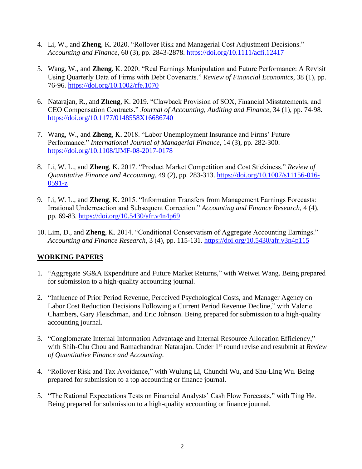- 4. Li, W., and **Zheng**, K. 2020. "Rollover Risk and Managerial Cost Adjustment Decisions." *Accounting and Finance*, 60 (3), pp. 2843-2878.<https://doi.org/10.1111/acfi.12417>
- 5. Wang, W., and **Zheng**, K. 2020. "Real Earnings Manipulation and Future Performance: A Revisit Using Quarterly Data of Firms with Debt Covenants." *Review of Financial Economics*, 38 (1), pp. 76-96.<https://doi.org/10.1002/rfe.1070>
- 6. Natarajan, R., and **Zheng**, K. 2019. "Clawback Provision of SOX, Financial Misstatements, and CEO Compensation Contracts." *Journal of Accounting, Auditing and Finance*, 34 (1), pp. 74-98. [https://doi.org/10.1177/0148558X16686740](https://doi.org/10.1177%2F0148558X16686740)
- 7. Wang, W., and **Zheng**, K. 2018. "Labor Unemployment Insurance and Firms' Future Performance." *International Journal of Managerial Finance*, 14 (3), pp. 282-300. <https://doi.org/10.1108/IJMF-08-2017-0178>
- 8. Li, W. L., and **Zheng**, K. 2017. "Product Market Competition and Cost Stickiness." *Review of Quantitative Finance and Accounting*, 49 (2), pp. 283-313. https://doi.org/10.1007/s11156-016- 0591-z
- 9. Li, W. L., and **Zheng**, K. 2015. "Information Transfers from Management Earnings Forecasts: Irrational Underreaction and Subsequent Correction." *Accounting and Finance Research*, 4 (4), pp. 69-83. <https://doi.org/10.5430/afr.v4n4p69>
- 10. Lim, D., and **Zheng**, K. 2014. "Conditional Conservatism of Aggregate Accounting Earnings." *Accounting and Finance Research*, 3 (4), pp. 115-131.<https://doi.org/10.5430/afr.v3n4p115>

## **WORKING PAPERS**

- 1. "Aggregate SG&A Expenditure and Future Market Returns," with Weiwei Wang. Being prepared for submission to a high-quality accounting journal.
- 2. "Influence of Prior Period Revenue, Perceived Psychological Costs, and Manager Agency on Labor Cost Reduction Decisions Following a Current Period Revenue Decline," with Valerie Chambers, Gary Fleischman, and Eric Johnson. Being prepared for submission to a high-quality accounting journal.
- 3. "Conglomerate Internal Information Advantage and Internal Resource Allocation Efficiency," with Shih-Chu Chou and Ramachandran Natarajan. Under 1<sup>st</sup> round revise and resubmit at *Review of Quantitative Finance and Accounting*.
- 4. "Rollover Risk and Tax Avoidance," with Wulung Li, Chunchi Wu, and Shu-Ling Wu. Being prepared for submission to a top accounting or finance journal.
- 5. "The Rational Expectations Tests on Financial Analysts' Cash Flow Forecasts," with Ting He. Being prepared for submission to a high-quality accounting or finance journal.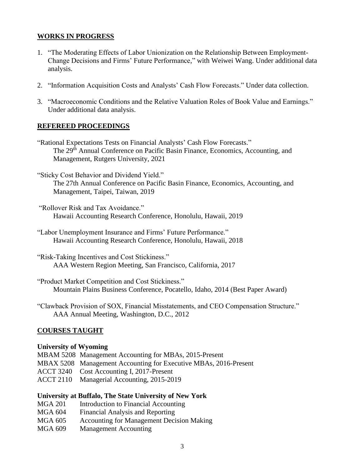## **WORKS IN PROGRESS**

- 1. "The Moderating Effects of Labor Unionization on the Relationship Between Employment-Change Decisions and Firms' Future Performance," with Weiwei Wang. Under additional data analysis.
- 2. "Information Acquisition Costs and Analysts' Cash Flow Forecasts." Under data collection.
- 3. "Macroeconomic Conditions and the Relative Valuation Roles of Book Value and Earnings." Under additional data analysis.

## **REFEREED PROCEEDINGS**

- "Rational Expectations Tests on Financial Analysts' Cash Flow Forecasts." The 29<sup>th</sup> Annual Conference on Pacific Basin Finance, Economics, Accounting, and Management, Rutgers University, 2021
- "Sticky Cost Behavior and Dividend Yield." The 27th Annual Conference on Pacific Basin Finance, Economics, Accounting, and Management, Taipei, Taiwan, 2019
- "Rollover Risk and Tax Avoidance." Hawaii Accounting Research Conference, Honolulu, Hawaii, 2019
- "Labor Unemployment Insurance and Firms' Future Performance." Hawaii Accounting Research Conference, Honolulu, Hawaii, 2018
- "Risk-Taking Incentives and Cost Stickiness." AAA Western Region Meeting, San Francisco, California, 2017
- "Product Market Competition and Cost Stickiness." Mountain Plains Business Conference, Pocatello, Idaho, 2014 (Best Paper Award)
- "Clawback Provision of SOX, Financial Misstatements, and CEO Compensation Structure." AAA Annual Meeting, Washington, D.C., 2012

## **COURSES TAUGHT**

#### **University of Wyoming**

MBAM 5208 Management Accounting for MBAs, 2015-Present MBAX 5208 Management Accounting for Executive MBAs, 2016-Present ACCT 3240 Cost Accounting I, 2017-Present ACCT 2110 Managerial Accounting, 2015-2019

#### **University at Buffalo, The State University of New York**

- MGA 201 Introduction to Financial Accounting
- MGA 604 Financial Analysis and Reporting
- MGA 605 Accounting for Management Decision Making
- MGA 609 Management Accounting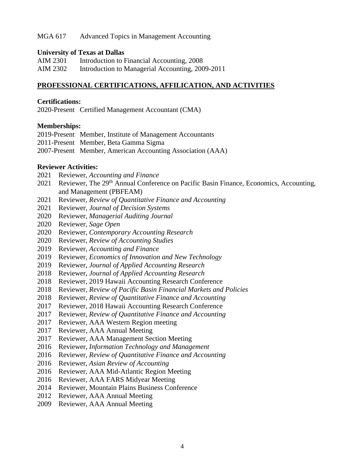### MGA 617 Advanced Topics in Management Accounting

#### **University of Texas at Dallas**

| AIM 2301 | Introduction to Financial Accounting, 2008       |
|----------|--------------------------------------------------|
| AIM 2302 | Introduction to Managerial Accounting, 2009-2011 |

#### **PROFESSIONAL CERTIFICATIONS, AFFILICATION, AND ACTIVITIES**

#### **Certifications:**

2020-Present Certified Management Accountant (CMA)

#### **Memberships:**

| 2019-Present Member, Institute of Management Accountants   |
|------------------------------------------------------------|
| 2011-Present Member, Beta Gamma Sigma                      |
| 2007-Present Member, American Accounting Association (AAA) |

#### **Reviewer Activities:**

- Reviewer, *Accounting and Finance*
- 2021 Reviewer, The 29<sup>th</sup> Annual Conference on Pacific Basin Finance, Economics, Accounting, and Management (PBFEAM)
- Reviewer, *Review of Quantitative Finance and Accounting*
- Reviewer, *Journal of Decision Systems*
- Reviewer, *Managerial Auditing Journal*
- Reviewer, *Sage Open*
- Reviewer, *Contemporary Accounting Research*
- Reviewer, *Review of Accounting Studies*
- Reviewer, *Accounting and Finance*
- Reviewer, *Economics of Innovation and New Technology*
- Reviewer, *Journal of Applied Accounting Research*
- Reviewer, *Journal of Applied Accounting Research*
- Reviewer, 2019 Hawaii Accounting Research Conference
- Reviewer, *Review of Pacific Basin Financial Markets and Policies*
- Reviewer, *Review of Quantitative Finance and Accounting*
- Reviewer, 2018 Hawaii Accounting Research Conference
- Reviewer, *Review of Quantitative Finance and Accounting*
- Reviewer, AAA Western Region meeting
- Reviewer, AAA Annual Meeting
- Reviewer, AAA Management Section Meeting
- Reviewer, *Information Technology and Management*
- Reviewer, *Review of Quantitative Finance and Accounting*
- Reviewer, *Asian Review of Accounting*
- Reviewer, AAA Mid-Atlantic Region Meeting
- Reviewer, AAA FARS Midyear Meeting
- Reviewer, Mountain Plains Business Conference
- Reviewer, AAA Annual Meeting
- Reviewer, AAA Annual Meeting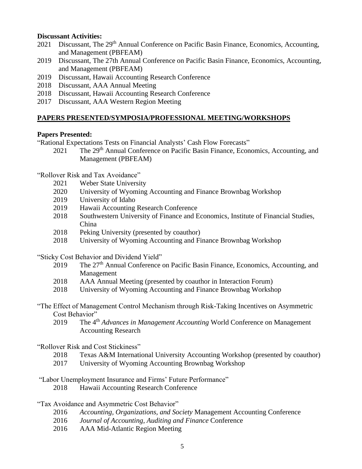## **Discussant Activities:**

- 2021 Discussant, The 29<sup>th</sup> Annual Conference on Pacific Basin Finance, Economics, Accounting, and Management (PBFEAM)
- 2019 Discussant, The 27th Annual Conference on Pacific Basin Finance, Economics, Accounting, and Management (PBFEAM)
- 2019 Discussant, Hawaii Accounting Research Conference
- 2018 Discussant, AAA Annual Meeting
- 2018 Discussant, Hawaii Accounting Research Conference
- 2017 Discussant, AAA Western Region Meeting

## **PAPERS PRESENTED/SYMPOSIA/PROFESSIONAL MEETING/WORKSHOPS**

## **Papers Presented:**

"Rational Expectations Tests on Financial Analysts' Cash Flow Forecasts"

2021 The 29<sup>th</sup> Annual Conference on Pacific Basin Finance, Economics, Accounting, and Management (PBFEAM)

"Rollover Risk and Tax Avoidance"

- 2021 Weber State University
- 2020 University of Wyoming Accounting and Finance Brownbag Workshop
- 2019 University of Idaho
- 2019 Hawaii Accounting Research Conference
- 2018 Southwestern University of Finance and Economics, Institute of Financial Studies, China
- 2018 Peking University (presented by coauthor)
- 2018 University of Wyoming Accounting and Finance Brownbag Workshop

"Sticky Cost Behavior and Dividend Yield"

- 2019 The 27<sup>th</sup> Annual Conference on Pacific Basin Finance, Economics, Accounting, and Management
- 2018 AAA Annual Meeting (presented by coauthor in Interaction Forum)
- 2018 University of Wyoming Accounting and Finance Brownbag Workshop
- "The Effect of Management Control Mechanism through Risk-Taking Incentives on Asymmetric Cost Behavior"
	- 2019 The 4<sup>th</sup> *Advances in Management Accounting* World Conference on Management Accounting Research

## "Rollover Risk and Cost Stickiness"

- 2018 Texas A&M International University Accounting Workshop (presented by coauthor)
- 2017 University of Wyoming Accounting Brownbag Workshop
- "Labor Unemployment Insurance and Firms' Future Performance"
	- 2018 Hawaii Accounting Research Conference

"Tax Avoidance and Asymmetric Cost Behavior"

- 2016 *Accounting, Organizations, and Society* Management Accounting Conference
- 2016 *Journal of Accounting, Auditing and Finance* Conference
- 2016 AAA Mid-Atlantic Region Meeting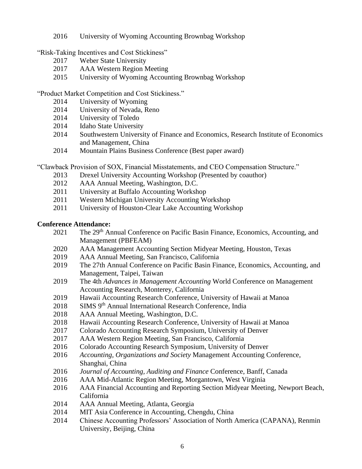University of Wyoming Accounting Brownbag Workshop

"Risk-Taking Incentives and Cost Stickiness"

- Weber State University
- AAA Western Region Meeting
- University of Wyoming Accounting Brownbag Workshop

"Product Market Competition and Cost Stickiness."

- University of Wyoming
- University of Nevada, Reno
- University of Toledo
- Idaho State University
- Southwestern University of Finance and Economics, Research Institute of Economics and Management, China
- Mountain Plains Business Conference (Best paper award)

"Clawback Provision of SOX, Financial Misstatements, and CEO Compensation Structure."

- Drexel University Accounting Workshop (Presented by coauthor)
- AAA Annual Meeting, Washington, D.C.
- University at Buffalo Accounting Workshop
- Western Michigan University Accounting Workshop
- University of Houston-Clear Lake Accounting Workshop

## **Conference Attendance:**

- 2021 The 29<sup>th</sup> Annual Conference on Pacific Basin Finance, Economics, Accounting, and Management (PBFEAM)
- AAA Management Accounting Section Midyear Meeting, Houston, Texas
- AAA Annual Meeting, San Francisco, California
- The 27th Annual Conference on Pacific Basin Finance, Economics, Accounting, and Management, Taipei, Taiwan
- The 4th *Advances in Management Accounting* World Conference on Management Accounting Research, Monterey, California
- Hawaii Accounting Research Conference, University of Hawaii at Manoa
- 2018 SIMS 9<sup>th</sup> Annual International Research Conference, India
- AAA Annual Meeting, Washington, D.C.
- Hawaii Accounting Research Conference, University of Hawaii at Manoa
- Colorado Accounting Research Symposium, University of Denver
- AAA Western Region Meeting, San Francisco, California
- Colorado Accounting Research Symposium, University of Denver
- *Accounting, Organizations and Society* Management Accounting Conference, Shanghai, China
- *Journal of Accounting, Auditing and Finance* Conference, Banff, Canada
- 2016 AAA Mid-Atlantic Region Meeting, Morgantown, West Virginia
- AAA Financial Accounting and Reporting Section Midyear Meeting, Newport Beach, California
- AAA Annual Meeting, Atlanta, Georgia
- MIT Asia Conference in Accounting, Chengdu, China
- Chinese Accounting Professors' Association of North America (CAPANA), Renmin University, Beijing, China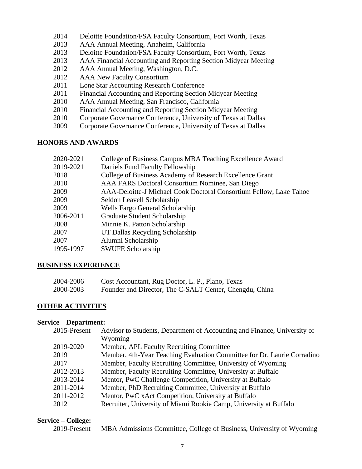- 2014 Deloitte Foundation/FSA Faculty Consortium, Fort Worth, Texas
- 2013 AAA Annual Meeting, Anaheim, California
- 2013 Deloitte Foundation/FSA Faculty Consortium, Fort Worth, Texas
- 2013 AAA Financial Accounting and Reporting Section Midyear Meeting
- 2012 AAA Annual Meeting, Washington, D.C.
- 2012 AAA New Faculty Consortium
- 2011 Lone Star Accounting Research Conference
- 2011 Financial Accounting and Reporting Section Midyear Meeting
- 2010 AAA Annual Meeting, San Francisco, California
- 2010 Financial Accounting and Reporting Section Midyear Meeting
- 2010 Corporate Governance Conference, University of Texas at Dallas
- 2009 Corporate Governance Conference, University of Texas at Dallas

## **HONORS AND AWARDS**

| 2020-2021 | College of Business Campus MBA Teaching Excellence Award           |
|-----------|--------------------------------------------------------------------|
| 2019-2021 | Daniels Fund Faculty Fellowship                                    |
| 2018      | College of Business Academy of Research Excellence Grant           |
| 2010      | AAA FARS Doctoral Consortium Nominee, San Diego                    |
| 2009      | AAA-Deloitte-J Michael Cook Doctoral Consortium Fellow, Lake Tahoe |
| 2009      | Seldon Leavell Scholarship                                         |
| 2009      | <b>Wells Fargo General Scholarship</b>                             |
| 2006-2011 | Graduate Student Scholarship                                       |
| 2008      | Minnie K. Patton Scholarship                                       |
| 2007      | UT Dallas Recycling Scholarship                                    |
| 2007      | Alumni Scholarship                                                 |
| 1995-1997 | <b>SWUFE Scholarship</b>                                           |

## **BUSINESS EXPERIENCE**

| 2004-2006 | Cost Accountant, Rug Doctor, L. P., Plano, Texas        |
|-----------|---------------------------------------------------------|
| 2000-2003 | Founder and Director, The C-SALT Center, Chengdu, China |

## **OTHER ACTIVITIES**

#### **Service – Department:**

| Advisor to Students, Department of Accounting and Finance, University of<br>2015-Present |  |
|------------------------------------------------------------------------------------------|--|
| Wyoming                                                                                  |  |
| 2019-2020<br>Member, APL Faculty Recruiting Committee                                    |  |
| Member, 4th-Year Teaching Evaluation Committee for Dr. Laurie Corradino<br>2019          |  |
| Member, Faculty Recruiting Committee, University of Wyoming<br>2017                      |  |
| 2012-2013<br>Member, Faculty Recruiting Committee, University at Buffalo                 |  |
| Mentor, PwC Challenge Competition, University at Buffalo<br>2013-2014                    |  |
| 2011-2014<br>Member, PhD Recruiting Committee, University at Buffalo                     |  |
| 2011-2012<br>Mentor, PwC xAct Competition, University at Buffalo                         |  |
| Recruiter, University of Miami Rookie Camp, University at Buffalo<br>2012                |  |

#### **Service – College:**

2019-Present MBA Admissions Committee, College of Business, University of Wyoming